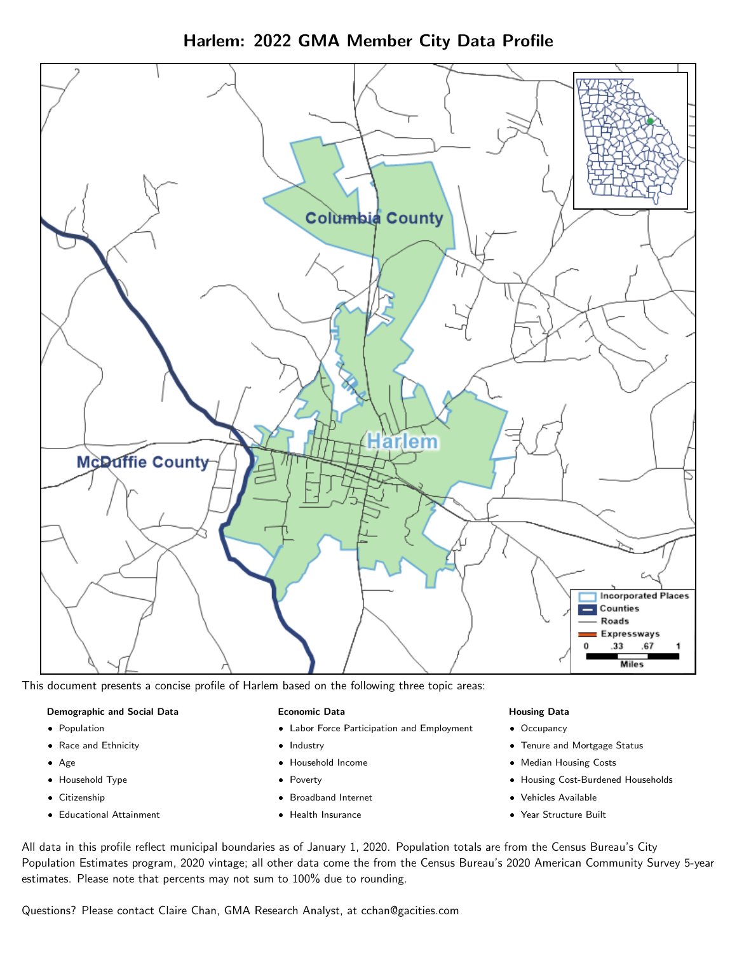Harlem: 2022 GMA Member City Data Profile



This document presents a concise profile of Harlem based on the following three topic areas:

#### Demographic and Social Data

- **•** Population
- Race and Ethnicity
- Age
- Household Type
- **Citizenship**
- Educational Attainment

#### Economic Data

- Labor Force Participation and Employment
- Industry
- Household Income
- Poverty
- Broadband Internet
- Health Insurance

#### Housing Data

- Occupancy
- Tenure and Mortgage Status
- Median Housing Costs
- Housing Cost-Burdened Households
- Vehicles Available
- Year Structure Built

All data in this profile reflect municipal boundaries as of January 1, 2020. Population totals are from the Census Bureau's City Population Estimates program, 2020 vintage; all other data come the from the Census Bureau's 2020 American Community Survey 5-year estimates. Please note that percents may not sum to 100% due to rounding.

Questions? Please contact Claire Chan, GMA Research Analyst, at [cchan@gacities.com.](mailto:cchan@gacities.com)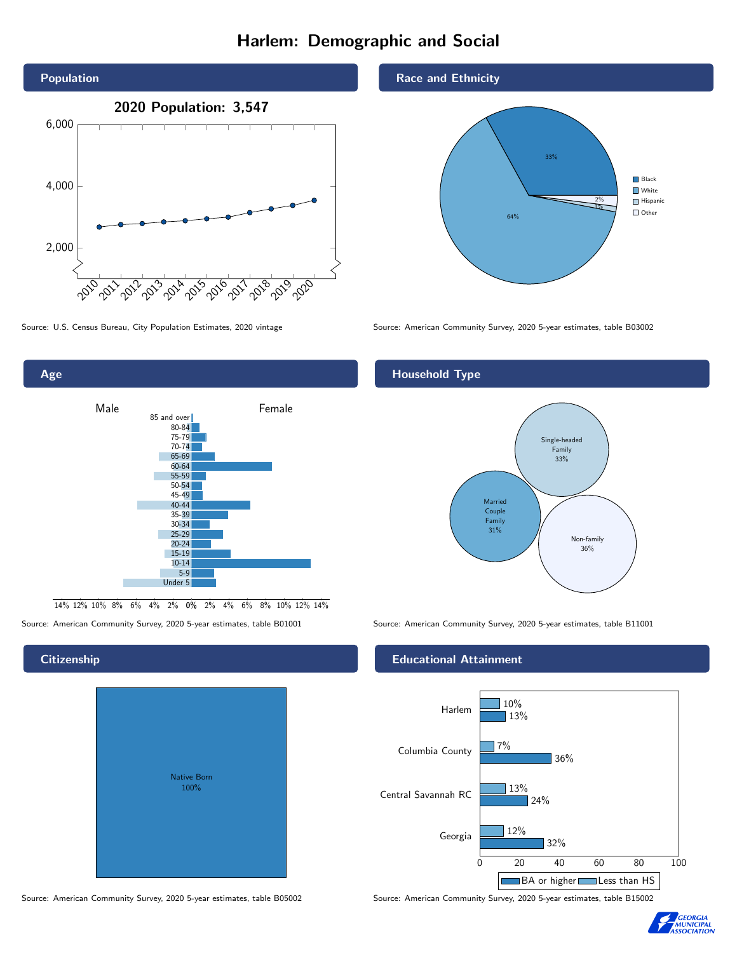# Harlem: Demographic and Social





Age Male **Female** 85 and over 80-84 75-79 70-74 65-69 60-64 55-59 50-54 45-49 40-44 35-39 30-34 25-29 20-24 15-19 10-14 5-9 Under 5

0% 2% 4% 6% 8% 10% 12% 14% 14% 12% 10% 8% 6% 4% 2%

# Native Born 100%

#### Race and Ethnicity



Source: U.S. Census Bureau, City Population Estimates, 2020 vintage Source: American Community Survey, 2020 5-year estimates, table B03002

### Household Type



Source: American Community Survey, 2020 5-year estimates, table B01001 Source: American Community Survey, 2020 5-year estimates, table B11001

#### Educational Attainment



Source: American Community Survey, 2020 5-year estimates, table B05002 Source: American Community Survey, 2020 5-year estimates, table B15002



#### **Citizenship**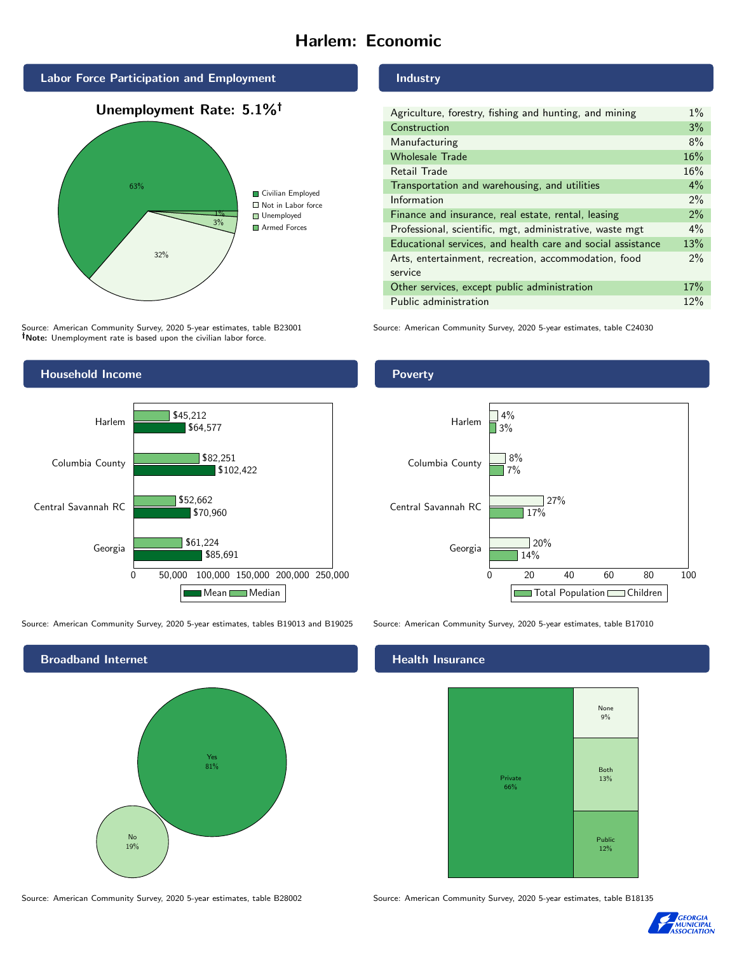# Harlem: Economic





Source: American Community Survey, 2020 5-year estimates, table B23001 Note: Unemployment rate is based upon the civilian labor force.

## Household Income 0 50,000 100,000 150,000 200,000 250,000 Georgia Central Savannah RC Columbia County Harlem \$85,691 \$70,960 \$102,422 \$64,577 \$61,224 \$52,662 \$82,251 \$45,212 Mean Median

Source: American Community Survey, 2020 5-year estimates, tables B19013 and B19025 Source: American Community Survey, 2020 5-year estimates, table B17010



#### Industry

| Agriculture, forestry, fishing and hunting, and mining      | $1\%$ |
|-------------------------------------------------------------|-------|
| Construction                                                | 3%    |
| Manufacturing                                               | 8%    |
| <b>Wholesale Trade</b>                                      | 16%   |
| Retail Trade                                                | 16%   |
| Transportation and warehousing, and utilities               | $4\%$ |
| Information                                                 | $2\%$ |
| Finance and insurance, real estate, rental, leasing         | $2\%$ |
| Professional, scientific, mgt, administrative, waste mgt    | $4\%$ |
| Educational services, and health care and social assistance | 13%   |
| Arts, entertainment, recreation, accommodation, food        | $2\%$ |
| service                                                     |       |
| Other services, except public administration                | 17%   |
| Public administration                                       | 12%   |

Source: American Community Survey, 2020 5-year estimates, table C24030

#### Poverty



#### Health Insurance



Source: American Community Survey, 2020 5-year estimates, table B28002 Source: American Community Survey, 2020 5-year estimates, table B18135